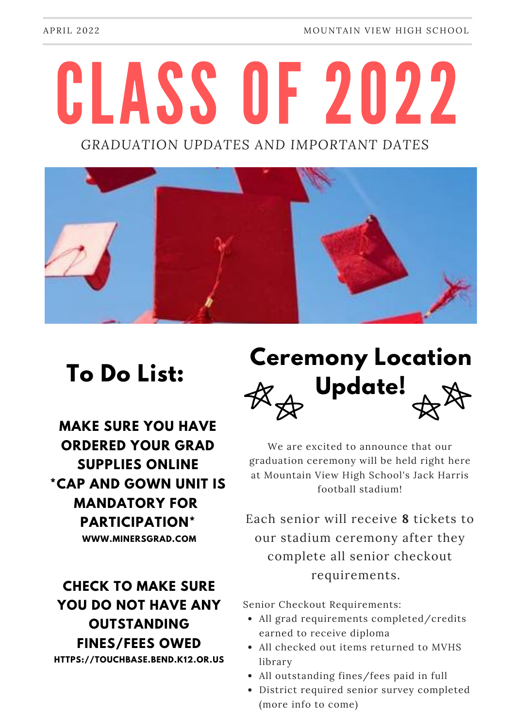# CLASS OF 2022

*GRADUATION UPDATES AND IMPORTANT DATES*



### **To Do List:**

**MAKE SURE YOU HAVE ORDERED YOUR GRAD SUPPLIES ONLINE \*CAP AND GOWN UNIT IS MANDATORY FOR PARTICIPATION\***

**WWW.MINERSGRAD.COM**

#### **CHECK TO MAKE SURE YOU DO NOT HAVE ANY OUTSTANDING FINES/FEES OWED**

**HTTPS://TOUCHBASE.BEND.K12.OR.US**

## **Ceremony Location Update!**

We are excited to announce that our graduation ceremony will be held right here at Mountain View High School's Jack Harris football stadium!

Each senior will receive **8** tickets to our stadium ceremony after they complete all senior checkout requirements.

Senior Checkout Requirements:

- All grad requirements completed/credits earned to receive diploma
- All checked out items returned to MVHS library
- All outstanding fines/fees paid in full
- District required senior survey completed (more info to come)